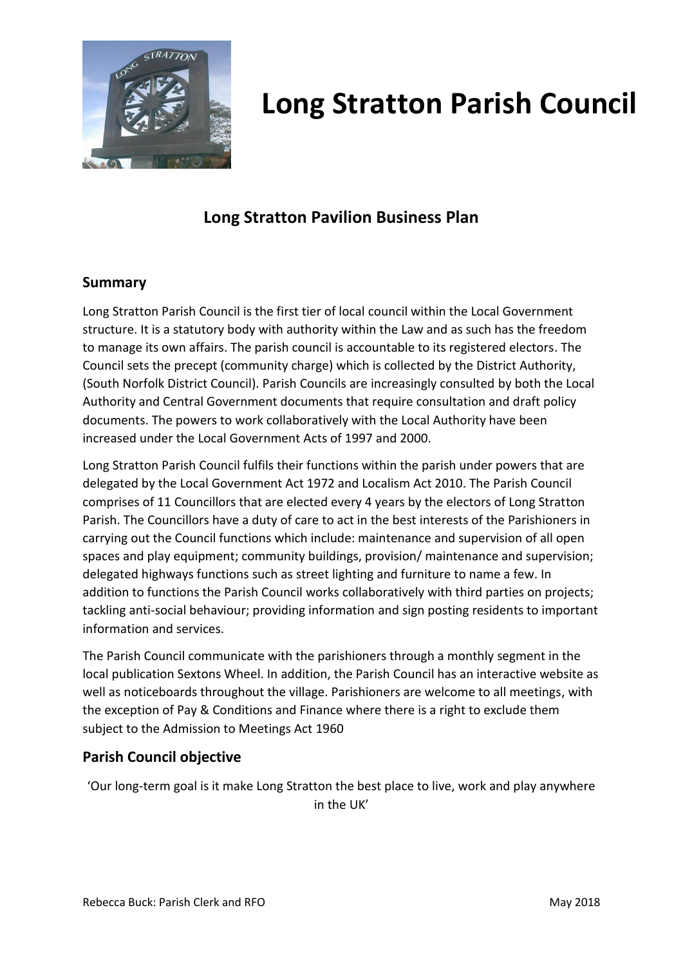

### **Long Stratton Pavilion Business Plan**

### **Summary**

Long Stratton Parish Council is the first tier of local council within the Local Government structure. It is a statutory body with authority within the Law and as such has the freedom to manage its own affairs. The parish council is accountable to its registered electors. The Council sets the precept (community charge) which is collected by the District Authority, (South Norfolk District Council). Parish Councils are increasingly consulted by both the Local Authority and Central Government documents that require consultation and draft policy documents. The powers to work collaboratively with the Local Authority have been increased under the Local Government Acts of 1997 and 2000.

Long Stratton Parish Council fulfils their functions within the parish under powers that are delegated by the Local Government Act 1972 and Localism Act 2010. The Parish Council comprises of 11 Councillors that are elected every 4 years by the electors of Long Stratton Parish. The Councillors have a duty of care to act in the best interests of the Parishioners in carrying out the Council functions which include: maintenance and supervision of all open spaces and play equipment; community buildings, provision/ maintenance and supervision; delegated highways functions such as street lighting and furniture to name a few. In addition to functions the Parish Council works collaboratively with third parties on projects; tackling anti-social behaviour; providing information and sign posting residents to important information and services.

The Parish Council communicate with the parishioners through a monthly segment in the local publication Sextons Wheel. In addition, the Parish Council has an interactive website as well as noticeboards throughout the village. Parishioners are welcome to all meetings, with the exception of Pay & Conditions and Finance where there is a right to exclude them subject to the Admission to Meetings Act 1960

### **Parish Council objective**

'Our long-term goal is it make Long Stratton the best place to live, work and play anywhere in the UK'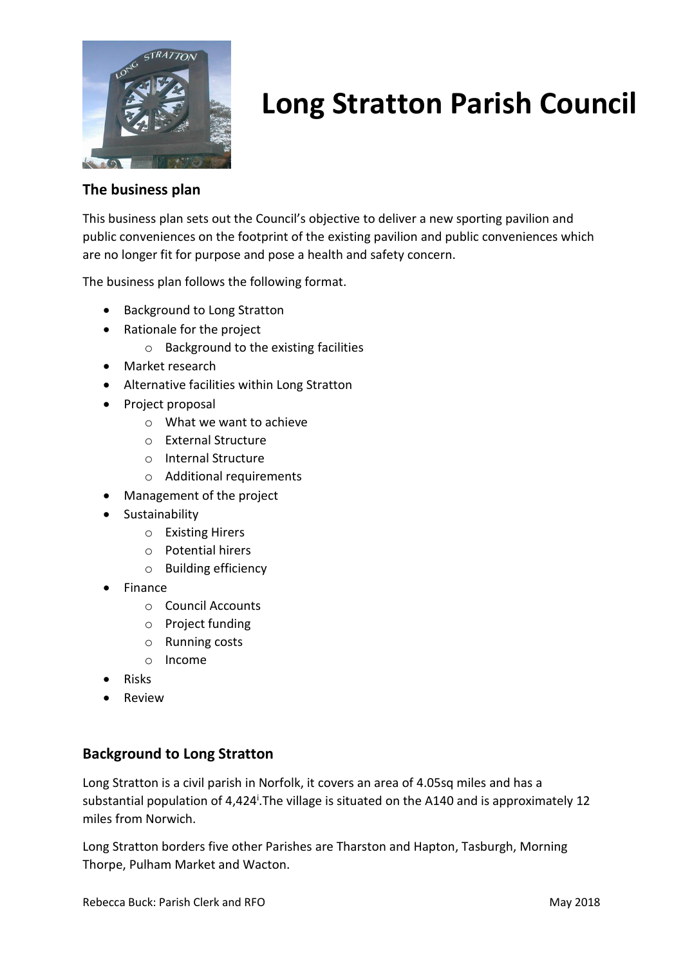

### **The business plan**

This business plan sets out the Council's objective to deliver a new sporting pavilion and public conveniences on the footprint of the existing pavilion and public conveniences which are no longer fit for purpose and pose a health and safety concern.

The business plan follows the following format.

- Background to Long Stratton
- Rationale for the project
	- o Background to the existing facilities
- Market research
- Alternative facilities within Long Stratton
- Project proposal
	- o What we want to achieve
	- o External Structure
	- o Internal Structure
	- o Additional requirements
- Management of the project
- Sustainability
	- o Existing Hirers
	- o Potential hirers
	- o Building efficiency
- Finance
	- o Council Accounts
	- o Project funding
	- o Running costs
	- o Income
- Risks
- Review

### **Background to Long Stratton**

Long Stratton is a civil parish in Norfolk, it covers an area of 4.05sq miles and has a substantial population of 4,424<sup>i</sup>. The village is situated on the A140 and is approximately 12 miles from Norwich.

Long Stratton borders five other Parishes are Tharston and Hapton, Tasburgh, Morning Thorpe, Pulham Market and Wacton.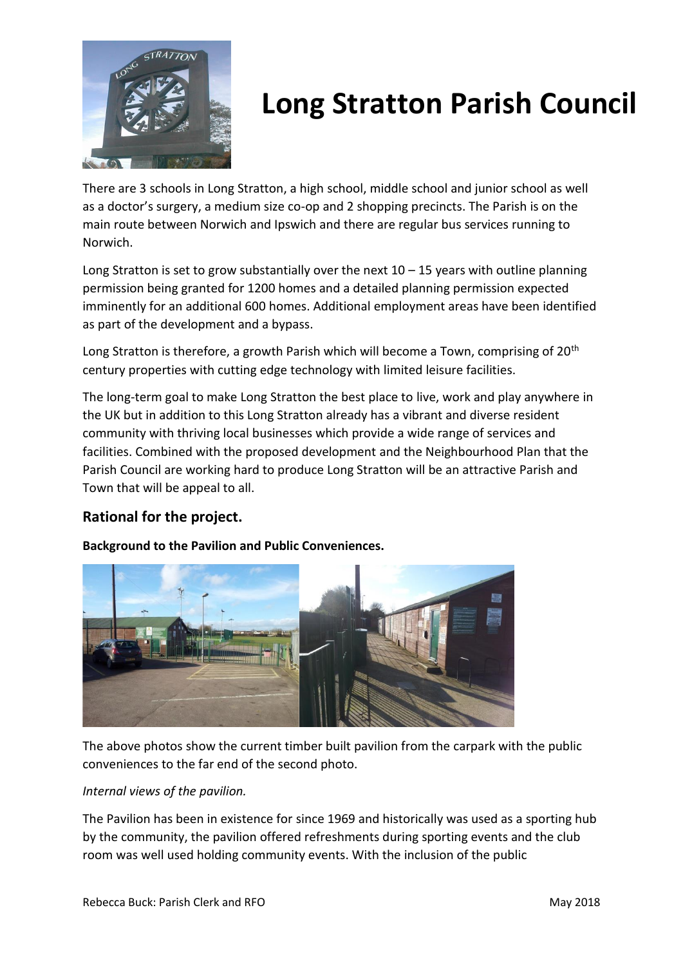

There are 3 schools in Long Stratton, a high school, middle school and junior school as well as a doctor's surgery, a medium size co-op and 2 shopping precincts. The Parish is on the main route between Norwich and Ipswich and there are regular bus services running to Norwich.

Long Stratton is set to grow substantially over the next  $10 - 15$  years with outline planning permission being granted for 1200 homes and a detailed planning permission expected imminently for an additional 600 homes. Additional employment areas have been identified as part of the development and a bypass.

Long Stratton is therefore, a growth Parish which will become a Town, comprising of 20<sup>th</sup> century properties with cutting edge technology with limited leisure facilities.

The long-term goal to make Long Stratton the best place to live, work and play anywhere in the UK but in addition to this Long Stratton already has a vibrant and diverse resident community with thriving local businesses which provide a wide range of services and facilities. Combined with the proposed development and the Neighbourhood Plan that the Parish Council are working hard to produce Long Stratton will be an attractive Parish and Town that will be appeal to all.

### **Rational for the project.**

**Background to the Pavilion and Public Conveniences.**



The above photos show the current timber built pavilion from the carpark with the public conveniences to the far end of the second photo.

### *Internal views of the pavilion.*

The Pavilion has been in existence for since 1969 and historically was used as a sporting hub by the community, the pavilion offered refreshments during sporting events and the club room was well used holding community events. With the inclusion of the public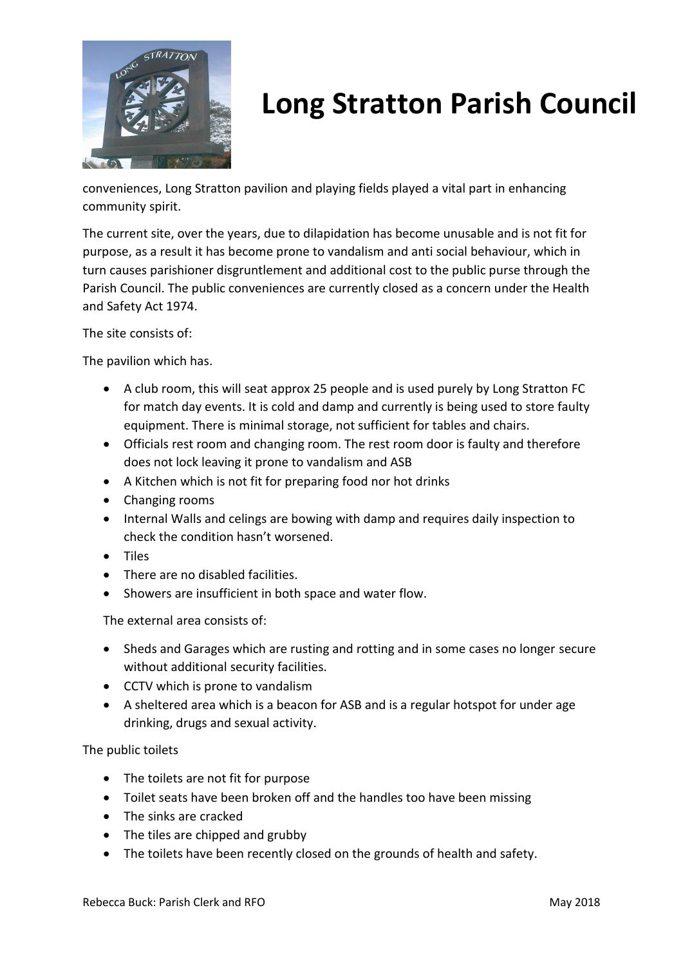

conveniences, Long Stratton pavilion and playing fields played a vital part in enhancing community spirit.

The current site, over the years, due to dilapidation has become unusable and is not fit for purpose, as a result it has become prone to vandalism and anti social behaviour, which in turn causes parishioner disgruntlement and additional cost to the public purse through the Parish Council. The public conveniences are currently closed as a concern under the Health and Safety Act 1974.

The site consists of:

The pavilion which has.

- A club room, this will seat approx 25 people and is used purely by Long Stratton FC for match day events. It is cold and damp and currently is being used to store faulty equipment. There is minimal storage, not sufficient for tables and chairs.
- Officials rest room and changing room. The rest room door is faulty and therefore does not lock leaving it prone to vandalism and ASB
- A Kitchen which is not fit for preparing food nor hot drinks
- Changing rooms
- Internal Walls and celings are bowing with damp and requires daily inspection to check the condition hasn't worsened.
- Tiles
- There are no disabled facilities.
- Showers are insufficient in both space and water flow.

The external area consists of:

- Sheds and Garages which are rusting and rotting and in some cases no longer secure without additional security facilities.
- CCTV which is prone to vandalism
- A sheltered area which is a beacon for ASB and is a regular hotspot for under age drinking, drugs and sexual activity.

The public toilets

- The toilets are not fit for purpose
- Toilet seats have been broken off and the handles too have been missing
- The sinks are cracked
- The tiles are chipped and grubby
- The toilets have been recently closed on the grounds of health and safety.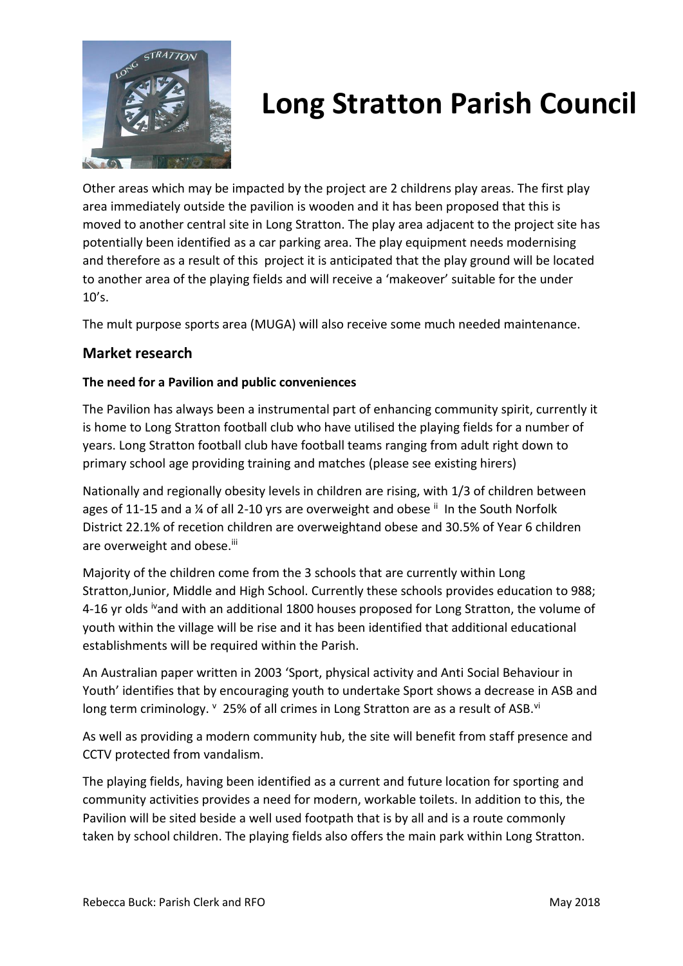

Other areas which may be impacted by the project are 2 childrens play areas. The first play area immediately outside the pavilion is wooden and it has been proposed that this is moved to another central site in Long Stratton. The play area adjacent to the project site has potentially been identified as a car parking area. The play equipment needs modernising and therefore as a result of this project it is anticipated that the play ground will be located to another area of the playing fields and will receive a 'makeover' suitable for the under 10's.

The mult purpose sports area (MUGA) will also receive some much needed maintenance.

### **Market research**

### **The need for a Pavilion and public conveniences**

The Pavilion has always been a instrumental part of enhancing community spirit, currently it is home to Long Stratton football club who have utilised the playing fields for a number of years. Long Stratton football club have football teams ranging from adult right down to primary school age providing training and matches (please see existing hirers)

Nationally and regionally obesity levels in children are rising, with 1/3 of children between ages of 11-15 and a  $\frac{1}{4}$  of all 2-10 yrs are overweight and obese  $\frac{1}{10}$  In the South Norfolk District 22.1% of recetion children are overweightand obese and 30.5% of Year 6 children are overweight and obese.<sup>iii</sup>

Majority of the children come from the 3 schools that are currently within Long Stratton,Junior, Middle and High School. Currently these schools provides education to 988; 4-16 yr olds <sup>iv</sup>and with an additional 1800 houses proposed for Long Stratton, the volume of youth within the village will be rise and it has been identified that additional educational establishments will be required within the Parish.

An Australian paper written in 2003 'Sport, physical activity and Anti Social Behaviour in Youth' identifies that by encouraging youth to undertake Sport shows a decrease in ASB and long term criminology.  $\frac{v}{25\%}$  of all crimes in Long Stratton are as a result of ASB.<sup>vi</sup>

As well as providing a modern community hub, the site will benefit from staff presence and CCTV protected from vandalism.

The playing fields, having been identified as a current and future location for sporting and community activities provides a need for modern, workable toilets. In addition to this, the Pavilion will be sited beside a well used footpath that is by all and is a route commonly taken by school children. The playing fields also offers the main park within Long Stratton.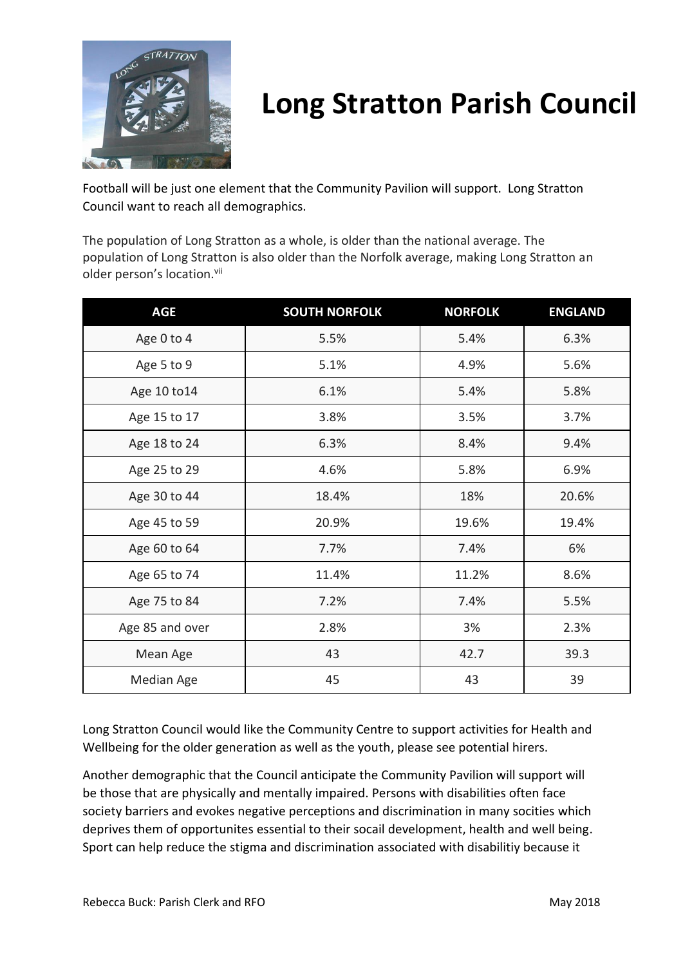

Football will be just one element that the Community Pavilion will support. Long Stratton Council want to reach all demographics.

The population of Long Stratton as a whole, is older than the national average. The population of Long Stratton is also older than the Norfolk average, making Long Stratton an older person's location.<sup>vii</sup>

| <b>AGE</b>      | <b>SOUTH NORFOLK</b> | <b>NORFOLK</b> | <b>ENGLAND</b> |
|-----------------|----------------------|----------------|----------------|
| Age 0 to 4      | 5.5%                 | 5.4%           | 6.3%           |
| Age 5 to 9      | 5.1%                 | 4.9%           | 5.6%           |
| Age 10 to 14    | 6.1%                 | 5.4%           | 5.8%           |
| Age 15 to 17    | 3.8%                 | 3.5%           | 3.7%           |
| Age 18 to 24    | 6.3%                 | 8.4%           | 9.4%           |
| Age 25 to 29    | 4.6%                 | 5.8%           | 6.9%           |
| Age 30 to 44    | 18.4%                | 18%            | 20.6%          |
| Age 45 to 59    | 20.9%                | 19.6%          | 19.4%          |
| Age 60 to 64    | 7.7%                 | 7.4%           | 6%             |
| Age 65 to 74    | 11.4%                | 11.2%          | 8.6%           |
| Age 75 to 84    | 7.2%                 | 7.4%           | 5.5%           |
| Age 85 and over | 2.8%                 | 3%             | 2.3%           |
| Mean Age        | 43                   | 42.7           | 39.3           |
| Median Age      | 45                   | 43             | 39             |

Long Stratton Council would like the Community Centre to support activities for Health and Wellbeing for the older generation as well as the youth, please see potential hirers.

Another demographic that the Council anticipate the Community Pavilion will support will be those that are physically and mentally impaired. Persons with disabilities often face society barriers and evokes negative perceptions and discrimination in many socities which deprives them of opportunites essential to their socail development, health and well being. Sport can help reduce the stigma and discrimination associated with disabilitiy because it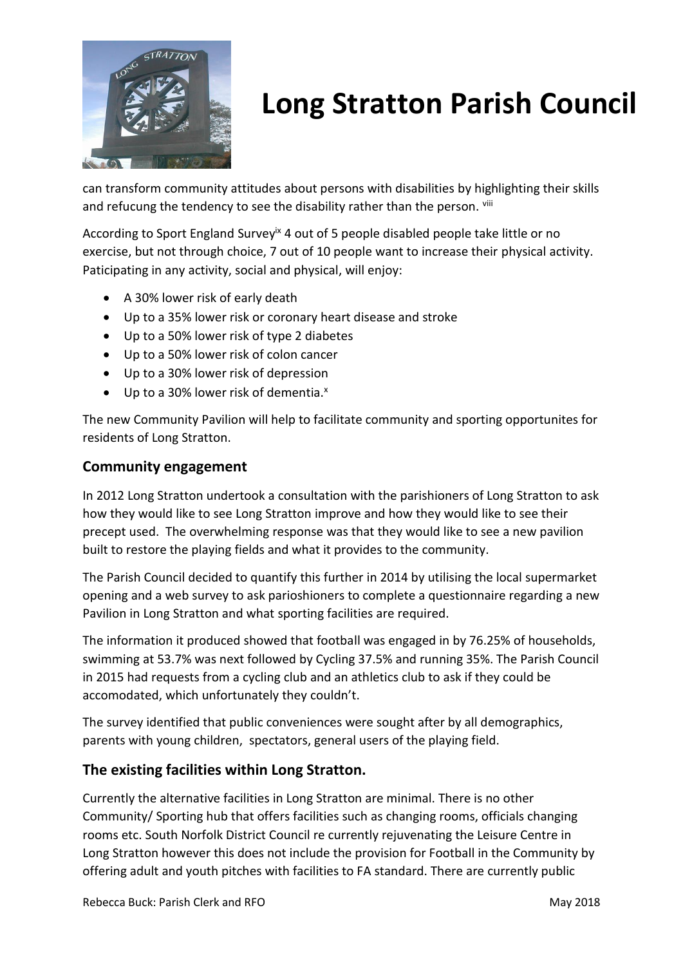

can transform community attitudes about persons with disabilities by highlighting their skills and refucung the tendency to see the disability rather than the person. Vili

According to Sport England Survey<sup>ix</sup> 4 out of 5 people disabled people take little or no exercise, but not through choice, 7 out of 10 people want to increase their physical activity. Paticipating in any activity, social and physical, will enjoy:

- A 30% lower risk of early death
- Up to a 35% lower risk or coronary heart disease and stroke
- Up to a 50% lower risk of type 2 diabetes
- Up to a 50% lower risk of colon cancer
- Up to a 30% lower risk of depression
- $\bullet$  Up to a 30% lower risk of dementia. $x$

The new Community Pavilion will help to facilitate community and sporting opportunites for residents of Long Stratton.

### **Community engagement**

In 2012 Long Stratton undertook a consultation with the parishioners of Long Stratton to ask how they would like to see Long Stratton improve and how they would like to see their precept used. The overwhelming response was that they would like to see a new pavilion built to restore the playing fields and what it provides to the community.

The Parish Council decided to quantify this further in 2014 by utilising the local supermarket opening and a web survey to ask parioshioners to complete a questionnaire regarding a new Pavilion in Long Stratton and what sporting facilities are required.

The information it produced showed that football was engaged in by 76.25% of households, swimming at 53.7% was next followed by Cycling 37.5% and running 35%. The Parish Council in 2015 had requests from a cycling club and an athletics club to ask if they could be accomodated, which unfortunately they couldn't.

The survey identified that public conveniences were sought after by all demographics, parents with young children, spectators, general users of the playing field.

### **The existing facilities within Long Stratton.**

Currently the alternative facilities in Long Stratton are minimal. There is no other Community/ Sporting hub that offers facilities such as changing rooms, officials changing rooms etc. South Norfolk District Council re currently rejuvenating the Leisure Centre in Long Stratton however this does not include the provision for Football in the Community by offering adult and youth pitches with facilities to FA standard. There are currently public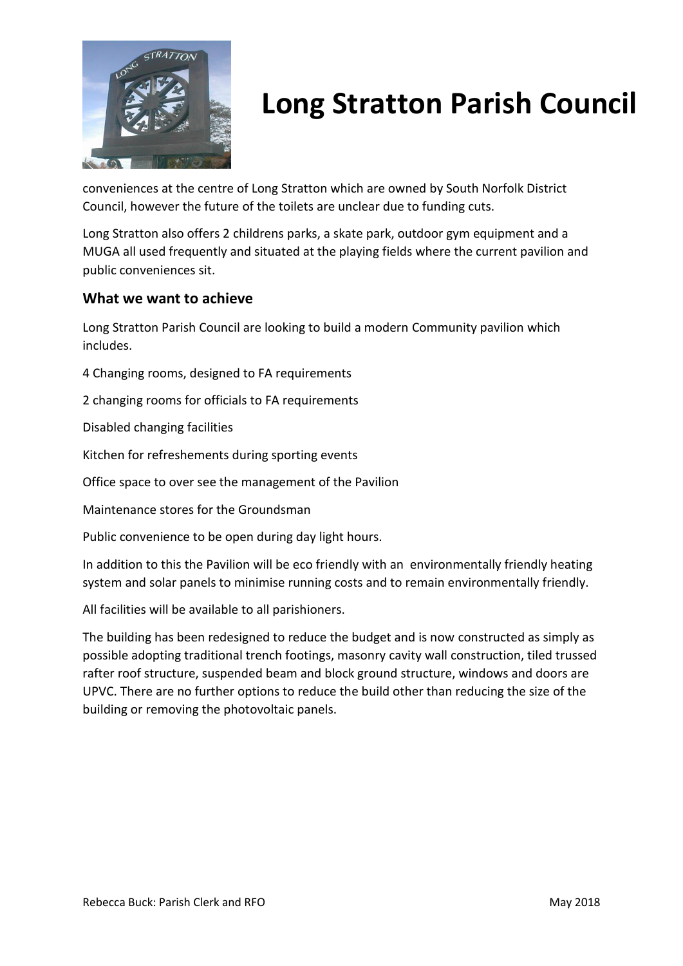

conveniences at the centre of Long Stratton which are owned by South Norfolk District Council, however the future of the toilets are unclear due to funding cuts.

Long Stratton also offers 2 childrens parks, a skate park, outdoor gym equipment and a MUGA all used frequently and situated at the playing fields where the current pavilion and public conveniences sit.

### **What we want to achieve**

Long Stratton Parish Council are looking to build a modern Community pavilion which includes.

4 Changing rooms, designed to FA requirements

2 changing rooms for officials to FA requirements

Disabled changing facilities

Kitchen for refreshements during sporting events

Office space to over see the management of the Pavilion

Maintenance stores for the Groundsman

Public convenience to be open during day light hours.

In addition to this the Pavilion will be eco friendly with an environmentally friendly heating system and solar panels to minimise running costs and to remain environmentally friendly.

All facilities will be available to all parishioners.

The building has been redesigned to reduce the budget and is now constructed as simply as possible adopting traditional trench footings, masonry cavity wall construction, tiled trussed rafter roof structure, suspended beam and block ground structure, windows and doors are UPVC. There are no further options to reduce the build other than reducing the size of the building or removing the photovoltaic panels.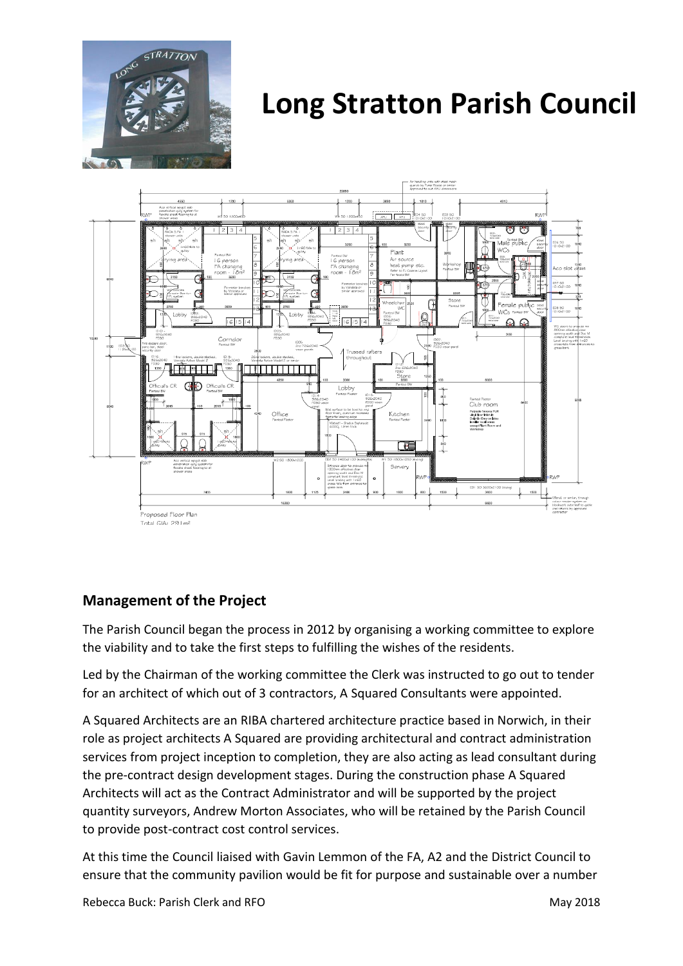



### **Management of the Project**

The Parish Council began the process in 2012 by organising a working committee to explore the viability and to take the first steps to fulfilling the wishes of the residents.

Led by the Chairman of the working committee the Clerk was instructed to go out to tender for an architect of which out of 3 contractors, A Squared Consultants were appointed.

A Squared Architects are an RIBA chartered architecture practice based in Norwich, in their role as project architects A Squared are providing architectural and contract administration services from project inception to completion, they are also acting as lead consultant during the pre-contract design development stages. During the construction phase A Squared Architects will act as the Contract Administrator and will be supported by the project quantity surveyors, Andrew Morton Associates, who will be retained by the Parish Council to provide post-contract cost control services.

At this time the Council liaised with Gavin Lemmon of the FA, A2 and the District Council to ensure that the community pavilion would be fit for purpose and sustainable over a number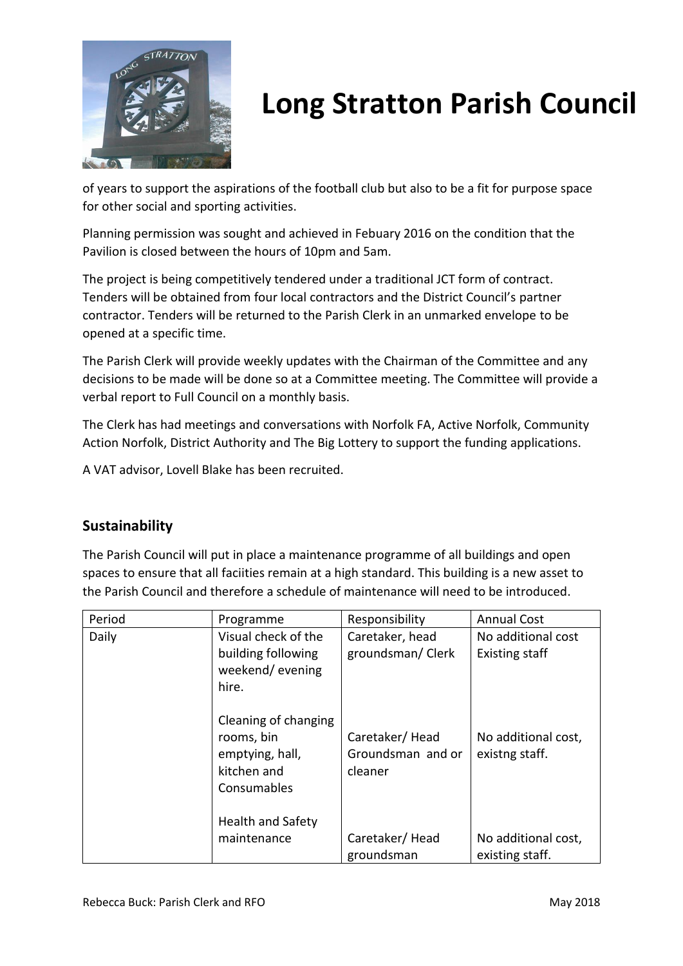

of years to support the aspirations of the football club but also to be a fit for purpose space for other social and sporting activities.

Planning permission was sought and achieved in Febuary 2016 on the condition that the Pavilion is closed between the hours of 10pm and 5am.

The project is being competitively tendered under a traditional JCT form of contract. Tenders will be obtained from four local contractors and the District Council's partner contractor. Tenders will be returned to the Parish Clerk in an unmarked envelope to be opened at a specific time.

The Parish Clerk will provide weekly updates with the Chairman of the Committee and any decisions to be made will be done so at a Committee meeting. The Committee will provide a verbal report to Full Council on a monthly basis.

The Clerk has had meetings and conversations with Norfolk FA, Active Norfolk, Community Action Norfolk, District Authority and The Big Lottery to support the funding applications.

A VAT advisor, Lovell Blake has been recruited.

### **Sustainability**

The Parish Council will put in place a maintenance programme of all buildings and open spaces to ensure that all faciities remain at a high standard. This building is a new asset to the Parish Council and therefore a schedule of maintenance will need to be introduced.

| Period | Programme                                                                           | Responsibility                                 | <b>Annual Cost</b>                          |
|--------|-------------------------------------------------------------------------------------|------------------------------------------------|---------------------------------------------|
| Daily  | Visual check of the<br>building following<br>weekend/evening<br>hire.               | Caretaker, head<br>groundsman/Clerk            | No additional cost<br><b>Existing staff</b> |
|        | Cleaning of changing<br>rooms, bin<br>emptying, hall,<br>kitchen and<br>Consumables | Caretaker/Head<br>Groundsman and or<br>cleaner | No additional cost,<br>existng staff.       |
|        | <b>Health and Safety</b><br>maintenance                                             | Caretaker/Head<br>groundsman                   | No additional cost,<br>existing staff.      |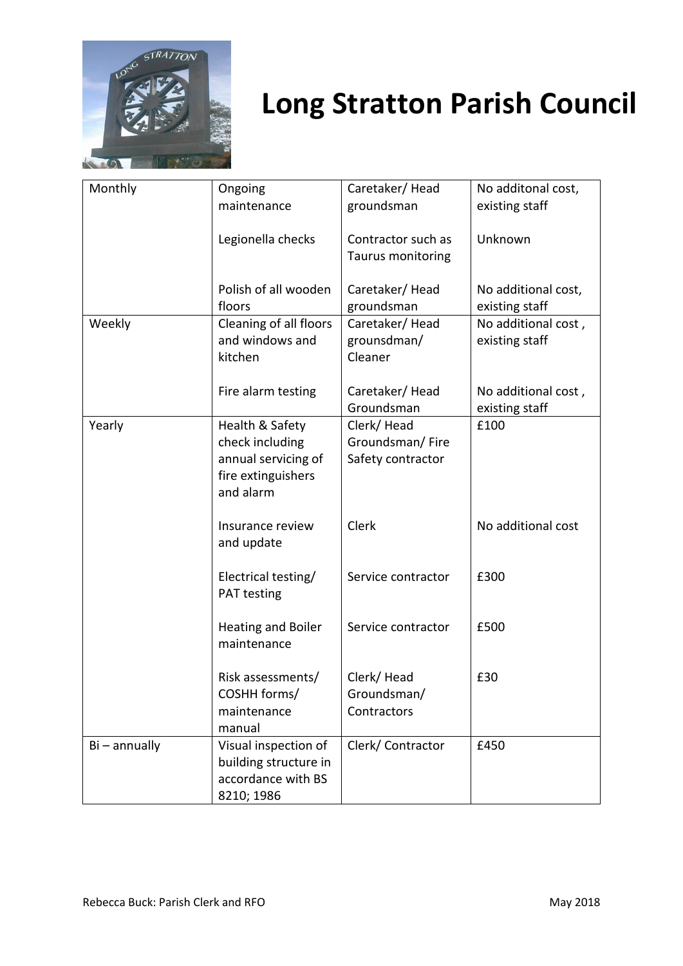

| Monthly         | Ongoing                   | Caretaker/Head           | No additonal cost,  |
|-----------------|---------------------------|--------------------------|---------------------|
|                 | maintenance               | groundsman               | existing staff      |
|                 |                           |                          |                     |
|                 | Legionella checks         | Contractor such as       | Unknown             |
|                 |                           | <b>Taurus monitoring</b> |                     |
|                 |                           |                          |                     |
|                 | Polish of all wooden      | Caretaker/Head           | No additional cost, |
|                 | floors                    | groundsman               | existing staff      |
| Weekly          | Cleaning of all floors    | Caretaker/Head           | No additional cost, |
|                 | and windows and           | grounsdman/              | existing staff      |
|                 | kitchen                   | Cleaner                  |                     |
|                 |                           |                          |                     |
|                 | Fire alarm testing        | Caretaker/Head           | No additional cost, |
|                 |                           | Groundsman               | existing staff      |
| Yearly          | Health & Safety           | Clerk/Head               | £100                |
|                 | check including           | Groundsman/Fire          |                     |
|                 | annual servicing of       | Safety contractor        |                     |
|                 | fire extinguishers        |                          |                     |
|                 | and alarm                 |                          |                     |
|                 | Insurance review          | Clerk                    | No additional cost  |
|                 | and update                |                          |                     |
|                 |                           |                          |                     |
|                 | Electrical testing/       | Service contractor       | £300                |
|                 | PAT testing               |                          |                     |
|                 |                           |                          |                     |
|                 | <b>Heating and Boiler</b> | Service contractor       | £500                |
|                 | maintenance               |                          |                     |
|                 |                           |                          |                     |
|                 | Risk assessments/         | Clerk/Head               | £30                 |
|                 | COSHH forms/              | Groundsman/              |                     |
|                 | maintenance               | Contractors              |                     |
|                 | manual                    |                          |                     |
| $Bi - annually$ | Visual inspection of      | Clerk/Contractor         | £450                |
|                 | building structure in     |                          |                     |
|                 | accordance with BS        |                          |                     |
|                 | 8210; 1986                |                          |                     |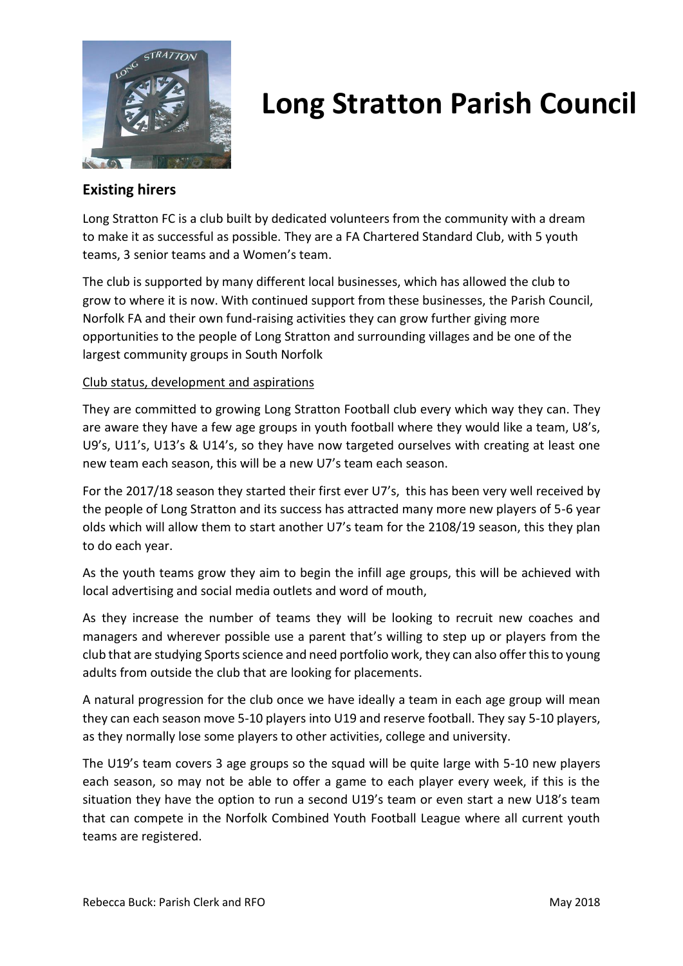

### **Existing hirers**

Long Stratton FC is a club built by dedicated volunteers from the community with a dream to make it as successful as possible. They are a FA Chartered Standard Club, with 5 youth teams, 3 senior teams and a Women's team.

The club is supported by many different local businesses, which has allowed the club to grow to where it is now. With continued support from these businesses, the Parish Council, Norfolk FA and their own fund-raising activities they can grow further giving more opportunities to the people of Long Stratton and surrounding villages and be one of the largest community groups in South Norfolk

#### Club status, development and aspirations

They are committed to growing Long Stratton Football club every which way they can. They are aware they have a few age groups in youth football where they would like a team, U8's, U9's, U11's, U13's & U14's, so they have now targeted ourselves with creating at least one new team each season, this will be a new U7's team each season.

For the 2017/18 season they started their first ever U7's, this has been very well received by the people of Long Stratton and its success has attracted many more new players of 5-6 year olds which will allow them to start another U7's team for the 2108/19 season, this they plan to do each year.

As the youth teams grow they aim to begin the infill age groups, this will be achieved with local advertising and social media outlets and word of mouth,

As they increase the number of teams they will be looking to recruit new coaches and managers and wherever possible use a parent that's willing to step up or players from the club that are studying Sports science and need portfolio work, they can also offer this to young adults from outside the club that are looking for placements.

A natural progression for the club once we have ideally a team in each age group will mean they can each season move 5-10 players into U19 and reserve football. They say 5-10 players, as they normally lose some players to other activities, college and university.

The U19's team covers 3 age groups so the squad will be quite large with 5-10 new players each season, so may not be able to offer a game to each player every week, if this is the situation they have the option to run a second U19's team or even start a new U18's team that can compete in the Norfolk Combined Youth Football League where all current youth teams are registered.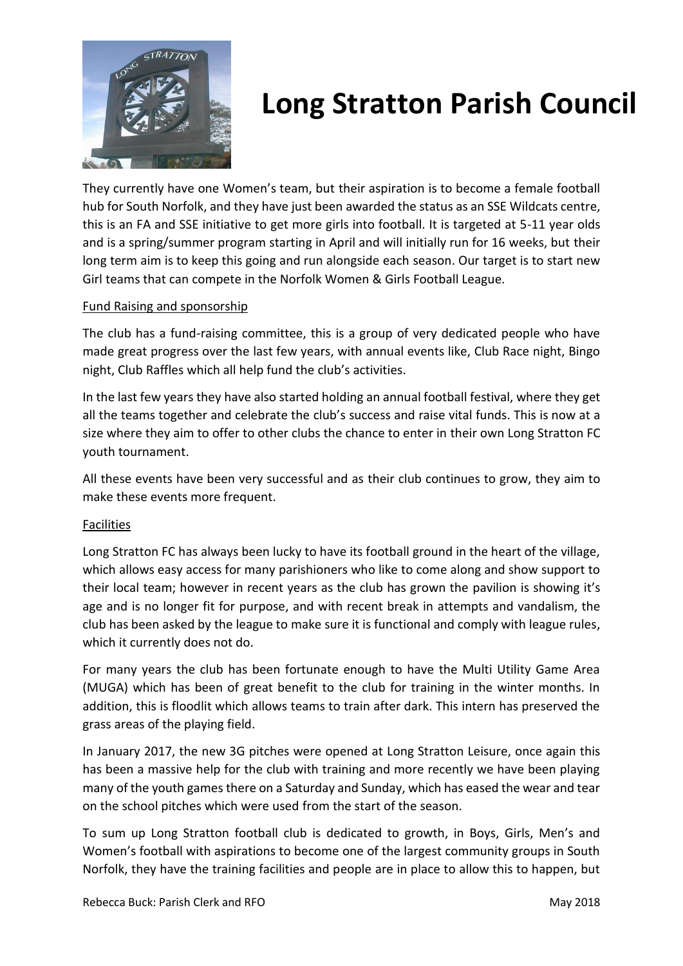

They currently have one Women's team, but their aspiration is to become a female football hub for South Norfolk, and they have just been awarded the status as an SSE Wildcats centre, this is an FA and SSE initiative to get more girls into football. It is targeted at 5-11 year olds and is a spring/summer program starting in April and will initially run for 16 weeks, but their long term aim is to keep this going and run alongside each season. Our target is to start new Girl teams that can compete in the Norfolk Women & Girls Football League.

### Fund Raising and sponsorship

The club has a fund-raising committee, this is a group of very dedicated people who have made great progress over the last few years, with annual events like, Club Race night, Bingo night, Club Raffles which all help fund the club's activities.

In the last few years they have also started holding an annual football festival, where they get all the teams together and celebrate the club's success and raise vital funds. This is now at a size where they aim to offer to other clubs the chance to enter in their own Long Stratton FC youth tournament.

All these events have been very successful and as their club continues to grow, they aim to make these events more frequent.

#### Facilities

Long Stratton FC has always been lucky to have its football ground in the heart of the village, which allows easy access for many parishioners who like to come along and show support to their local team; however in recent years as the club has grown the pavilion is showing it's age and is no longer fit for purpose, and with recent break in attempts and vandalism, the club has been asked by the league to make sure it is functional and comply with league rules, which it currently does not do.

For many years the club has been fortunate enough to have the Multi Utility Game Area (MUGA) which has been of great benefit to the club for training in the winter months. In addition, this is floodlit which allows teams to train after dark. This intern has preserved the grass areas of the playing field.

In January 2017, the new 3G pitches were opened at Long Stratton Leisure, once again this has been a massive help for the club with training and more recently we have been playing many of the youth games there on a Saturday and Sunday, which has eased the wear and tear on the school pitches which were used from the start of the season.

To sum up Long Stratton football club is dedicated to growth, in Boys, Girls, Men's and Women's football with aspirations to become one of the largest community groups in South Norfolk, they have the training facilities and people are in place to allow this to happen, but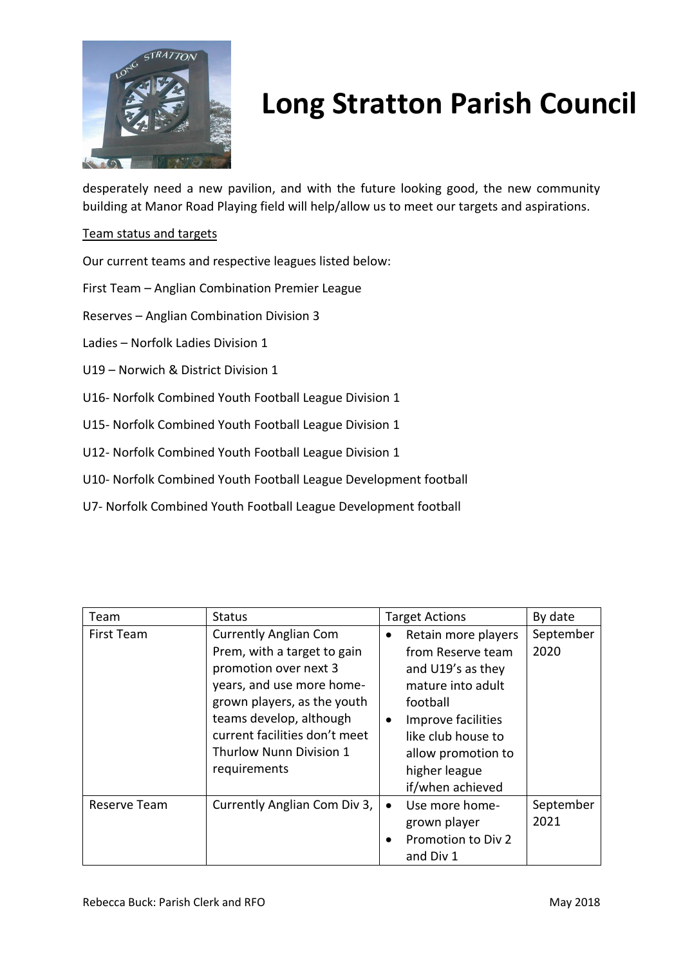

desperately need a new pavilion, and with the future looking good, the new community building at Manor Road Playing field will help/allow us to meet our targets and aspirations.

#### Team status and targets

Our current teams and respective leagues listed below:

First Team – Anglian Combination Premier League

Reserves – Anglian Combination Division 3

Ladies – Norfolk Ladies Division 1

- U19 Norwich & District Division 1
- U16- Norfolk Combined Youth Football League Division 1
- U15- Norfolk Combined Youth Football League Division 1
- U12- Norfolk Combined Youth Football League Division 1
- U10- Norfolk Combined Youth Football League Development football
- U7- Norfolk Combined Youth Football League Development football

| Team         | <b>Status</b>                                                                                                                                                                                                                                                  | <b>Target Actions</b>                                                                                                                                                                                                           | By date           |
|--------------|----------------------------------------------------------------------------------------------------------------------------------------------------------------------------------------------------------------------------------------------------------------|---------------------------------------------------------------------------------------------------------------------------------------------------------------------------------------------------------------------------------|-------------------|
| First Team   | <b>Currently Anglian Com</b><br>Prem, with a target to gain<br>promotion over next 3<br>years, and use more home-<br>grown players, as the youth<br>teams develop, although<br>current facilities don't meet<br><b>Thurlow Nunn Division 1</b><br>requirements | Retain more players<br>$\bullet$<br>from Reserve team<br>and U19's as they<br>mature into adult<br>football<br>Improve facilities<br>$\bullet$<br>like club house to<br>allow promotion to<br>higher league<br>if/when achieved | September<br>2020 |
| Reserve Team | Currently Anglian Com Div 3,                                                                                                                                                                                                                                   | Use more home-<br>$\bullet$<br>grown player<br>Promotion to Div 2<br>$\bullet$<br>and Div 1                                                                                                                                     | September<br>2021 |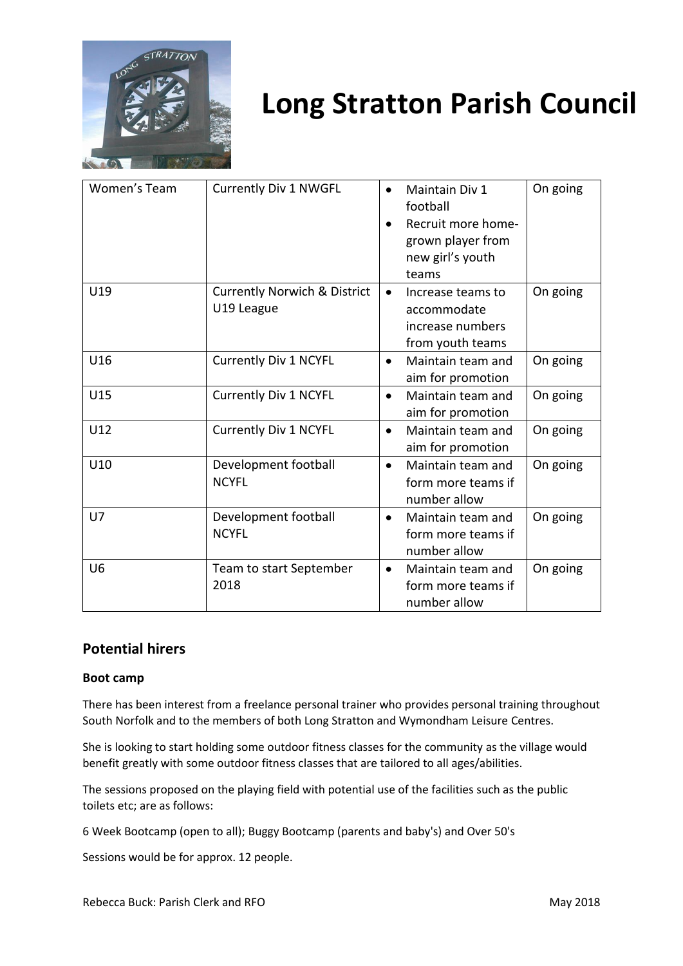

| Women's Team   | <b>Currently Div 1 NWGFL</b>                          | Maintain Div 1<br>$\bullet$<br>football<br>Recruit more home-<br>grown player from<br>new girl's youth<br>teams | On going |
|----------------|-------------------------------------------------------|-----------------------------------------------------------------------------------------------------------------|----------|
| U19            | <b>Currently Norwich &amp; District</b><br>U19 League | Increase teams to<br>$\bullet$<br>accommodate<br>increase numbers<br>from youth teams                           | On going |
| U16            | <b>Currently Div 1 NCYFL</b>                          | Maintain team and<br>$\bullet$<br>aim for promotion                                                             | On going |
| U15            | <b>Currently Div 1 NCYFL</b>                          | Maintain team and<br>$\bullet$<br>aim for promotion                                                             | On going |
| U12            | <b>Currently Div 1 NCYFL</b>                          | Maintain team and<br>$\bullet$<br>aim for promotion                                                             | On going |
| U10            | Development football<br><b>NCYFL</b>                  | Maintain team and<br>$\bullet$<br>form more teams if<br>number allow                                            | On going |
| U7             | Development football<br><b>NCYFL</b>                  | Maintain team and<br>$\bullet$<br>form more teams if<br>number allow                                            | On going |
| U <sub>6</sub> | Team to start September<br>2018                       | Maintain team and<br>$\bullet$<br>form more teams if<br>number allow                                            | On going |

### **Potential hirers**

#### **Boot camp**

There has been interest from a freelance personal trainer who provides personal training throughout South Norfolk and to the members of both Long Stratton and Wymondham Leisure Centres.

She is looking to start holding some outdoor fitness classes for the community as the village would benefit greatly with some outdoor fitness classes that are tailored to all ages/abilities.

The sessions proposed on the playing field with potential use of the facilities such as the public toilets etc; are as follows:

6 Week Bootcamp (open to all); Buggy Bootcamp (parents and baby's) and Over 50's

Sessions would be for approx. 12 people.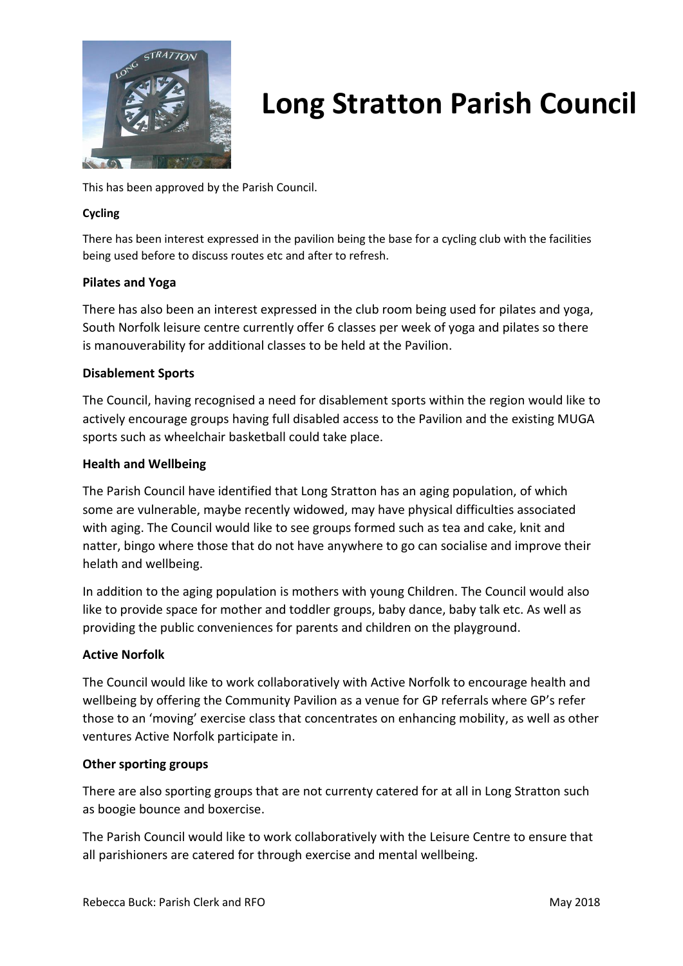

This has been approved by the Parish Council.

#### **Cycling**

There has been interest expressed in the pavilion being the base for a cycling club with the facilities being used before to discuss routes etc and after to refresh.

#### **Pilates and Yoga**

There has also been an interest expressed in the club room being used for pilates and yoga, South Norfolk leisure centre currently offer 6 classes per week of yoga and pilates so there is manouverability for additional classes to be held at the Pavilion.

#### **Disablement Sports**

The Council, having recognised a need for disablement sports within the region would like to actively encourage groups having full disabled access to the Pavilion and the existing MUGA sports such as wheelchair basketball could take place.

#### **Health and Wellbeing**

The Parish Council have identified that Long Stratton has an aging population, of which some are vulnerable, maybe recently widowed, may have physical difficulties associated with aging. The Council would like to see groups formed such as tea and cake, knit and natter, bingo where those that do not have anywhere to go can socialise and improve their helath and wellbeing.

In addition to the aging population is mothers with young Children. The Council would also like to provide space for mother and toddler groups, baby dance, baby talk etc. As well as providing the public conveniences for parents and children on the playground.

#### **Active Norfolk**

The Council would like to work collaboratively with Active Norfolk to encourage health and wellbeing by offering the Community Pavilion as a venue for GP referrals where GP's refer those to an 'moving' exercise class that concentrates on enhancing mobility, as well as other ventures Active Norfolk participate in.

#### **Other sporting groups**

There are also sporting groups that are not currenty catered for at all in Long Stratton such as boogie bounce and boxercise.

The Parish Council would like to work collaboratively with the Leisure Centre to ensure that all parishioners are catered for through exercise and mental wellbeing.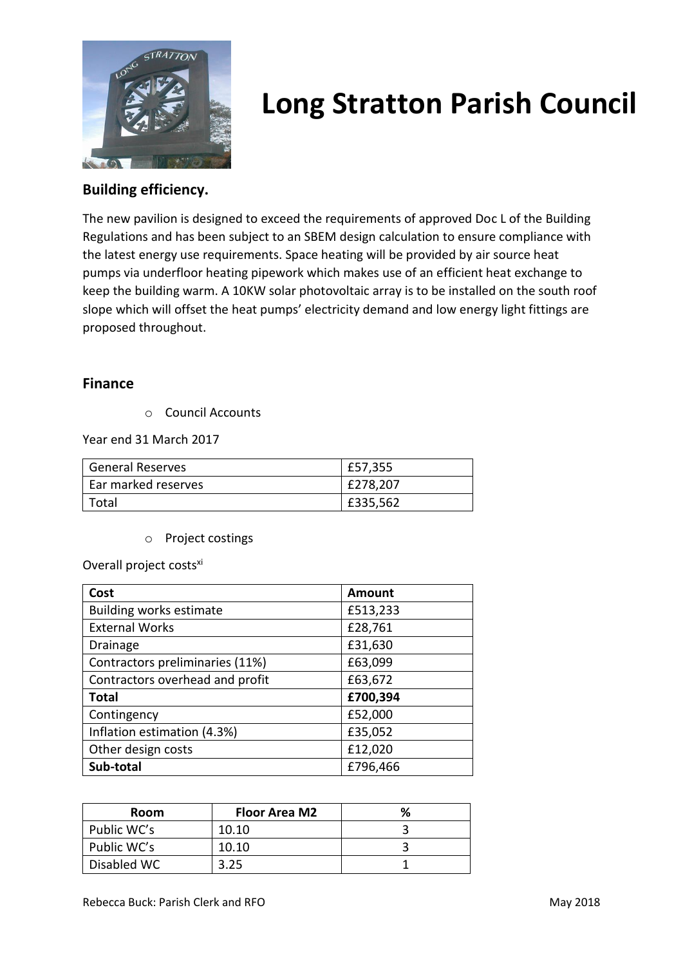

### **Building efficiency.**

The new pavilion is designed to exceed the requirements of approved Doc L of the Building Regulations and has been subject to an SBEM design calculation to ensure compliance with the latest energy use requirements. Space heating will be provided by air source heat pumps via underfloor heating pipework which makes use of an efficient heat exchange to keep the building warm. A 10KW solar photovoltaic array is to be installed on the south roof slope which will offset the heat pumps' electricity demand and low energy light fittings are proposed throughout.

### **Finance**

o Council Accounts

Year end 31 March 2017

| <b>General Reserves</b> | £57,355  |
|-------------------------|----------|
| Ear marked reserves     | £278,207 |
| Total                   | £335,562 |

o Project costings

Overall project costs<sup>xi</sup>

| Cost                            | <b>Amount</b> |
|---------------------------------|---------------|
| <b>Building works estimate</b>  | £513,233      |
| <b>External Works</b>           | £28,761       |
| <b>Drainage</b>                 | £31,630       |
| Contractors preliminaries (11%) | £63,099       |
| Contractors overhead and profit | £63,672       |
| <b>Total</b>                    | £700,394      |
| Contingency                     | £52,000       |
| Inflation estimation (4.3%)     | £35,052       |
| Other design costs              | £12,020       |
| Sub-total                       | £796,466      |

| <b>Room</b> | <b>Floor Area M2</b> |  |
|-------------|----------------------|--|
| Public WC's | 10.10                |  |
| Public WC's | 10.10                |  |
| Disabled WC |                      |  |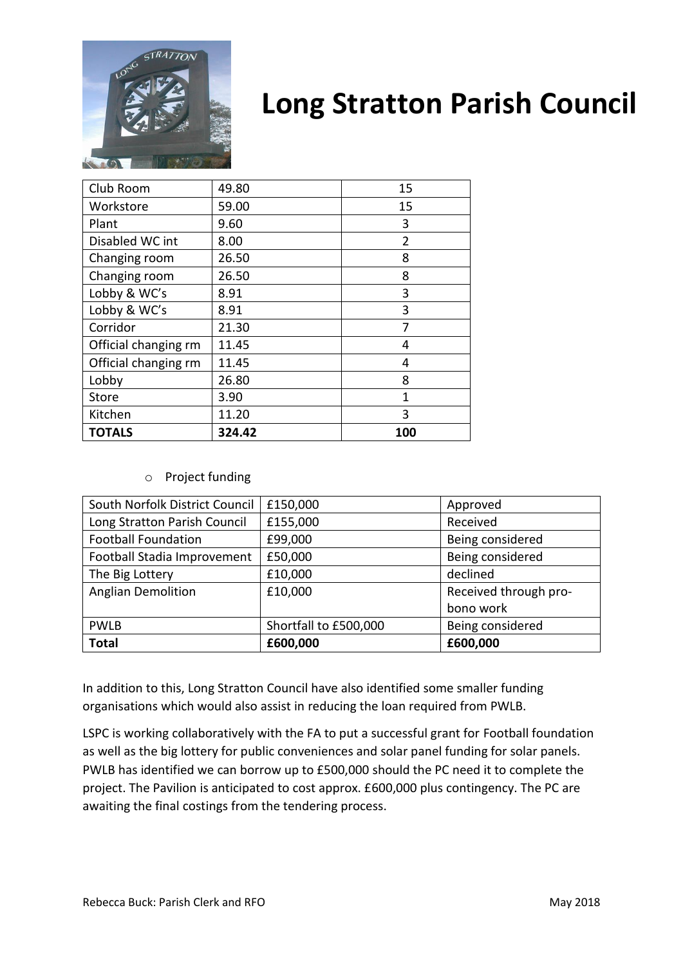

| Club Room            | 49.80  | 15             |
|----------------------|--------|----------------|
| Workstore            | 59.00  | 15             |
| Plant                | 9.60   | 3              |
| Disabled WC int      | 8.00   | $\overline{2}$ |
| Changing room        | 26.50  | 8              |
| Changing room        | 26.50  | 8              |
| Lobby & WC's         | 8.91   | 3              |
| Lobby & WC's         | 8.91   | 3              |
| Corridor             | 21.30  | 7              |
| Official changing rm | 11.45  | 4              |
| Official changing rm | 11.45  | 4              |
| Lobby                | 26.80  | 8              |
| Store                | 3.90   | 1              |
| Kitchen              | 11.20  | 3              |
| <b>TOTALS</b>        | 324.42 | 100            |

o Project funding

| South Norfolk District Council | £150,000              | Approved              |
|--------------------------------|-----------------------|-----------------------|
| Long Stratton Parish Council   | £155,000              | Received              |
| <b>Football Foundation</b>     | £99,000               | Being considered      |
| Football Stadia Improvement    | £50,000               | Being considered      |
| The Big Lottery                | £10,000               | declined              |
| <b>Anglian Demolition</b>      | £10,000               | Received through pro- |
|                                |                       | bono work             |
| <b>PWLB</b>                    | Shortfall to £500,000 | Being considered      |
| <b>Total</b>                   | £600,000              | £600,000              |

In addition to this, Long Stratton Council have also identified some smaller funding organisations which would also assist in reducing the loan required from PWLB.

LSPC is working collaboratively with the FA to put a successful grant for Football foundation as well as the big lottery for public conveniences and solar panel funding for solar panels. PWLB has identified we can borrow up to £500,000 should the PC need it to complete the project. The Pavilion is anticipated to cost approx. £600,000 plus contingency. The PC are awaiting the final costings from the tendering process.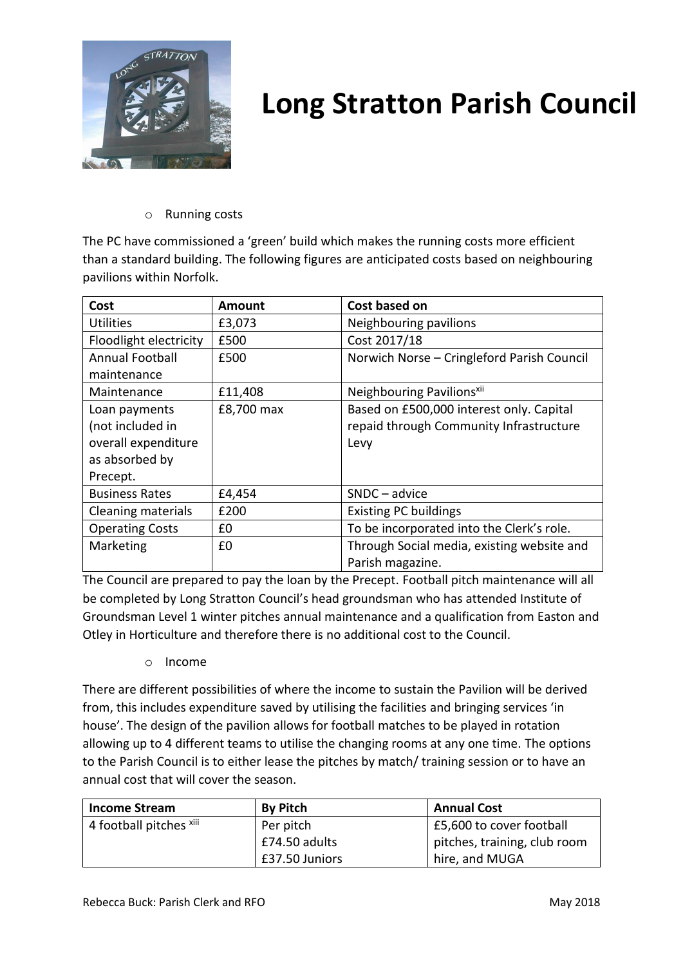

#### o Running costs

The PC have commissioned a 'green' build which makes the running costs more efficient than a standard building. The following figures are anticipated costs based on neighbouring pavilions within Norfolk.

| Cost                   | <b>Amount</b> | Cost based on                              |
|------------------------|---------------|--------------------------------------------|
| Utilities              | £3,073        | Neighbouring pavilions                     |
| Floodlight electricity | £500          | Cost 2017/18                               |
| <b>Annual Football</b> | £500          | Norwich Norse - Cringleford Parish Council |
| maintenance            |               |                                            |
| Maintenance            | £11,408       | Neighbouring Pavilions <sup>xii</sup>      |
| Loan payments          | £8,700 max    | Based on £500,000 interest only. Capital   |
| (not included in       |               | repaid through Community Infrastructure    |
| overall expenditure    |               | Levy                                       |
| as absorbed by         |               |                                            |
| Precept.               |               |                                            |
| <b>Business Rates</b>  | £4,454        | $SNDC - advice$                            |
| Cleaning materials     | £200          | <b>Existing PC buildings</b>               |
| <b>Operating Costs</b> | £0            | To be incorporated into the Clerk's role.  |
| Marketing              | £0            | Through Social media, existing website and |
|                        |               | Parish magazine.                           |

The Council are prepared to pay the loan by the Precept. Football pitch maintenance will all be completed by Long Stratton Council's head groundsman who has attended Institute of Groundsman Level 1 winter pitches annual maintenance and a qualification from Easton and Otley in Horticulture and therefore there is no additional cost to the Council.

o Income

There are different possibilities of where the income to sustain the Pavilion will be derived from, this includes expenditure saved by utilising the facilities and bringing services 'in house'. The design of the pavilion allows for football matches to be played in rotation allowing up to 4 different teams to utilise the changing rooms at any one time. The options to the Parish Council is to either lease the pitches by match/ training session or to have an annual cost that will cover the season.

| <b>Income Stream</b>    | <b>By Pitch</b> | <b>Annual Cost</b>           |
|-------------------------|-----------------|------------------------------|
| 4 football pitches xiii | Per pitch       | E5,600 to cover football     |
|                         | £74.50 adults   | pitches, training, club room |
|                         | £37.50 Juniors  | hire, and MUGA               |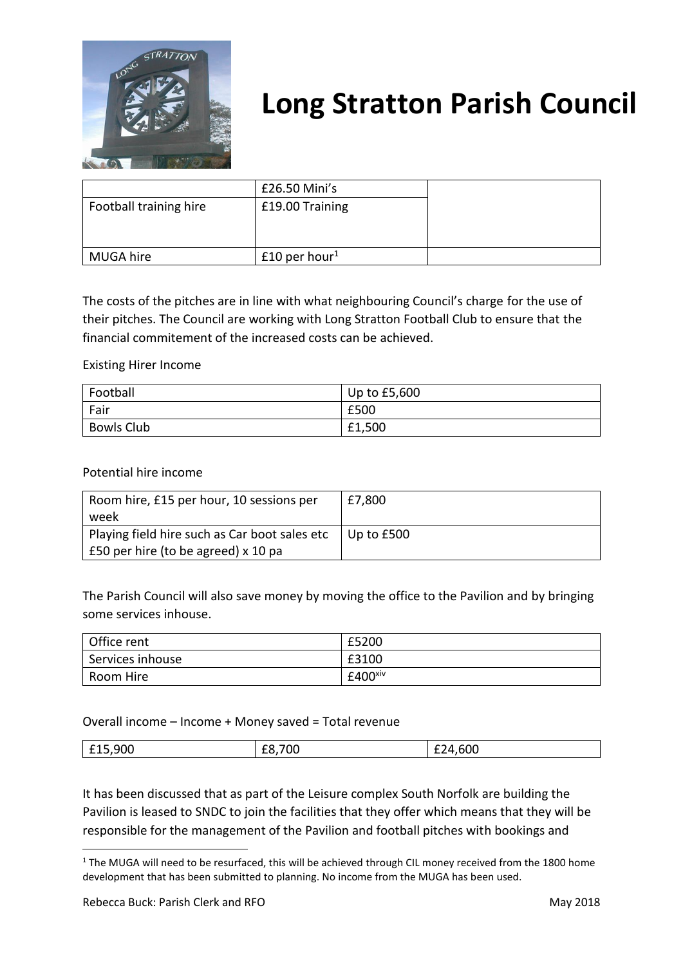

|                        | £26.50 Mini's               |  |
|------------------------|-----------------------------|--|
| Football training hire | £19.00 Training             |  |
| MUGA hire              | $£10$ per hour <sup>1</sup> |  |

The costs of the pitches are in line with what neighbouring Council's charge for the use of their pitches. The Council are working with Long Stratton Football Club to ensure that the financial commitement of the increased costs can be achieved.

Existing Hirer Income

| Football          | Up to £5,600 |
|-------------------|--------------|
| Fair              | £500         |
| <b>Bowls Club</b> | £1,500       |

Potential hire income

| Room hire, £15 per hour, 10 sessions per      | £7,800       |
|-----------------------------------------------|--------------|
| week                                          |              |
| Playing field hire such as Car boot sales etc | Up to $£500$ |
| £50 per hire (to be agreed) x 10 pa           |              |

The Parish Council will also save money by moving the office to the Pavilion and by bringing some services inhouse.

| Office rent      | £5200                 |
|------------------|-----------------------|
| Services inhouse | £3100                 |
| Room Hire        | $£400$ <sup>xiv</sup> |

Overall income – Income + Money saved = Total revenue

|  | ാറ<br>$\sim$<br>∪∪<br>--- | vv<br>-- | $-$<br>$\sim$ |
|--|---------------------------|----------|---------------|
|--|---------------------------|----------|---------------|

It has been discussed that as part of the Leisure complex South Norfolk are building the Pavilion is leased to SNDC to join the facilities that they offer which means that they will be responsible for the management of the Pavilion and football pitches with bookings and

1

<sup>&</sup>lt;sup>1</sup> The MUGA will need to be resurfaced, this will be achieved through CIL money received from the 1800 home development that has been submitted to planning. No income from the MUGA has been used.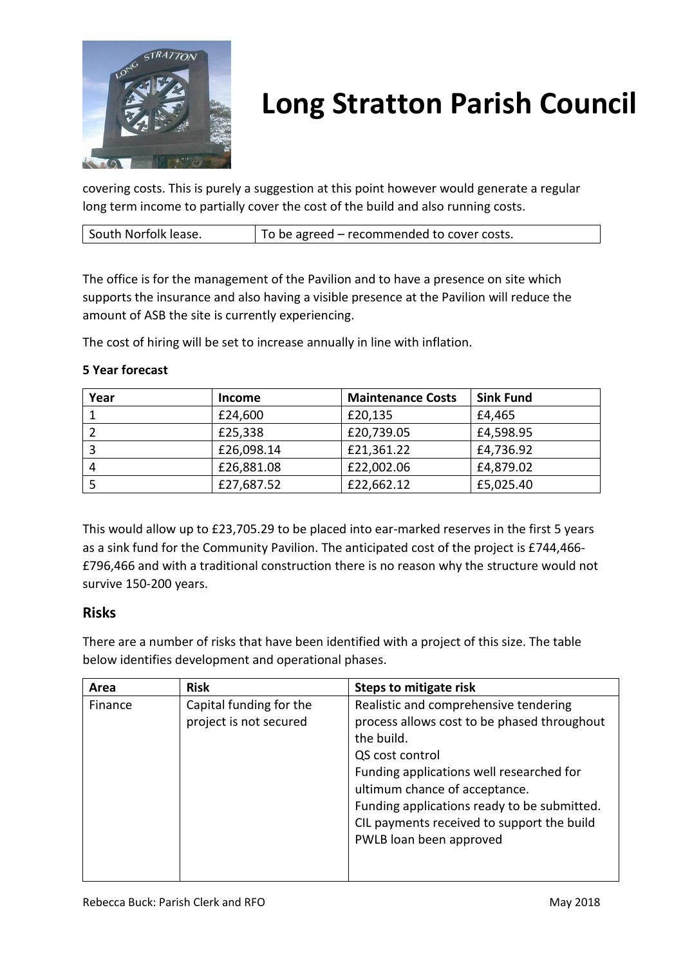

covering costs. This is purely a suggestion at this point however would generate a regular long term income to partially cover the cost of the build and also running costs.

| South Norfolk lease.<br>To be agreed – recommended to cover costs. |
|--------------------------------------------------------------------|
|--------------------------------------------------------------------|

The office is for the management of the Pavilion and to have a presence on site which supports the insurance and also having a visible presence at the Pavilion will reduce the amount of ASB the site is currently experiencing.

The cost of hiring will be set to increase annually in line with inflation.

| Year | <b>Income</b> | <b>Maintenance Costs</b> | <b>Sink Fund</b> |
|------|---------------|--------------------------|------------------|
|      | £24,600       | £20,135                  | £4,465           |
|      | £25,338       | £20,739.05               | £4,598.95        |
|      | £26,098.14    | £21,361.22               | £4,736.92        |
| 4    | £26,881.08    | £22,002.06               | £4,879.02        |
|      | £27,687.52    | £22,662.12               | £5,025.40        |

This would allow up to £23,705.29 to be placed into ear-marked reserves in the first 5 years as a sink fund for the Community Pavilion. The anticipated cost of the project is £744,466- £796,466 and with a traditional construction there is no reason why the structure would not survive 150-200 years.

### **Risks**

There are a number of risks that have been identified with a project of this size. The table below identifies development and operational phases.

| Area    | <b>Risk</b>             | <b>Steps to mitigate risk</b>               |
|---------|-------------------------|---------------------------------------------|
| Finance | Capital funding for the | Realistic and comprehensive tendering       |
|         | project is not secured  | process allows cost to be phased throughout |
|         |                         | the build.                                  |
|         |                         | QS cost control                             |
|         |                         | Funding applications well researched for    |
|         |                         | ultimum chance of acceptance.               |
|         |                         | Funding applications ready to be submitted. |
|         |                         | CIL payments received to support the build  |
|         |                         | PWLB loan been approved                     |
|         |                         |                                             |
|         |                         |                                             |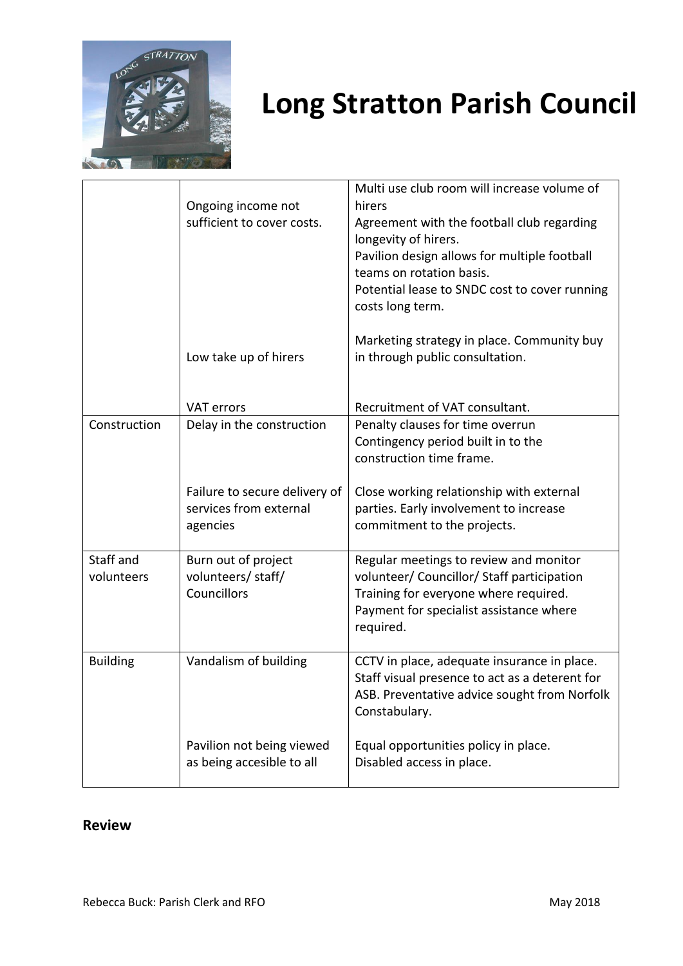

|                 | Ongoing income not<br>sufficient to cover costs.                    | Multi use club room will increase volume of<br>hirers<br>Agreement with the football club regarding<br>longevity of hirers.<br>Pavilion design allows for multiple football<br>teams on rotation basis.<br>Potential lease to SNDC cost to cover running<br>costs long term.<br>Marketing strategy in place. Community buy |
|-----------------|---------------------------------------------------------------------|----------------------------------------------------------------------------------------------------------------------------------------------------------------------------------------------------------------------------------------------------------------------------------------------------------------------------|
|                 | Low take up of hirers                                               | in through public consultation.                                                                                                                                                                                                                                                                                            |
|                 | <b>VAT errors</b>                                                   | Recruitment of VAT consultant.                                                                                                                                                                                                                                                                                             |
| Construction    | Delay in the construction                                           | Penalty clauses for time overrun                                                                                                                                                                                                                                                                                           |
|                 |                                                                     | Contingency period built in to the                                                                                                                                                                                                                                                                                         |
|                 |                                                                     | construction time frame.                                                                                                                                                                                                                                                                                                   |
|                 | Failure to secure delivery of<br>services from external<br>agencies | Close working relationship with external<br>parties. Early involvement to increase<br>commitment to the projects.                                                                                                                                                                                                          |
| Staff and       | Burn out of project                                                 | Regular meetings to review and monitor                                                                                                                                                                                                                                                                                     |
| volunteers      | volunteers/ staff/                                                  | volunteer/ Councillor/ Staff participation                                                                                                                                                                                                                                                                                 |
|                 | Councillors                                                         | Training for everyone where required.                                                                                                                                                                                                                                                                                      |
|                 |                                                                     | Payment for specialist assistance where<br>required.                                                                                                                                                                                                                                                                       |
| <b>Building</b> | Vandalism of building                                               | CCTV in place, adequate insurance in place.<br>Staff visual presence to act as a deterent for<br>ASB. Preventative advice sought from Norfolk<br>Constabulary.                                                                                                                                                             |
|                 | Pavilion not being viewed<br>as being accesible to all              | Equal opportunities policy in place.<br>Disabled access in place.                                                                                                                                                                                                                                                          |

### **Review**